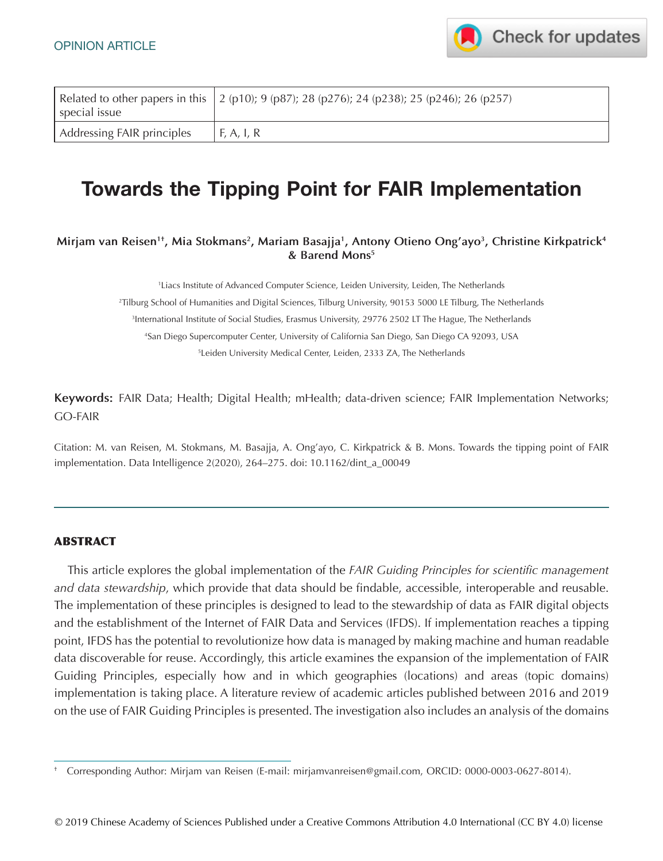

| special issue              | Related to other papers in this $\left( \frac{2 (p10)}{9 (p87)} \right)$ ; 28 (p276); 24 (p238); 25 (p246); 26 (p257) |
|----------------------------|-----------------------------------------------------------------------------------------------------------------------|
| Addressing FAIR principles | F, A, I, R                                                                                                            |

# **Towards the Tipping Point for FAIR Implementation**

**Mirjam van Reisen1†, Mia Stokmans2, Mariam Basajja1, Antony Otieno Ong'ayo3, Christine Kirkpatrick4 & Barend Mons5**

1 Liacs Institute of Advanced Computer Science, Leiden University, Leiden, The Netherlands

2 Tilburg School of Humanities and Digital Sciences, Tilburg University, 90153 5000 LE Tilburg, The Netherlands

3 International Institute of Social Studies, Erasmus University, 29776 2502 LT The Hague, The Netherlands

4 San Diego Supercomputer Center, University of California San Diego, San Diego CA 92093, USA

5 Leiden University Medical Center, Leiden, 2333 ZA, The Netherlands

**Keywords:** FAIR Data; Health; Digital Health; mHealth; data-driven science; FAIR Implementation Networks; GO-FAIR

Citation: M. van Reisen, M. Stokmans, M. Basajja, A. Ong'ayo, C. Kirkpatrick & B. Mons. Towards the tipping point of FAIR implementation. Data Intelligence 2(2020), 264–275. doi: 10.1162/dint\_a\_00049

#### ABSTRACT

This article explores the global implementation of the *FAIR Guiding Principles for scientific management and data stewardship*, which provide that data should be findable, accessible, interoperable and reusable. The implementation of these principles is designed to lead to the stewardship of data as FAIR digital objects and the establishment of the Internet of FAIR Data and Services (IFDS). If implementation reaches a tipping point, IFDS has the potential to revolutionize how data is managed by making machine and human readable data discoverable for reuse. Accordingly, this article examines the expansion of the implementation of FAIR Guiding Principles, especially how and in which geographies (locations) and areas (topic domains) implementation is taking place. A literature review of academic articles published between 2016 and 2019 on the use of FAIR Guiding Principles is presented. The investigation also includes an analysis of the domains

<sup>†</sup> Corresponding Author: Mirjam van Reisen (E-mail: [mirjamvanreisen@gmail.com,](mailto:mirjamvanreisen@gmail.com) ORCID: 0000-0003-0627-8014).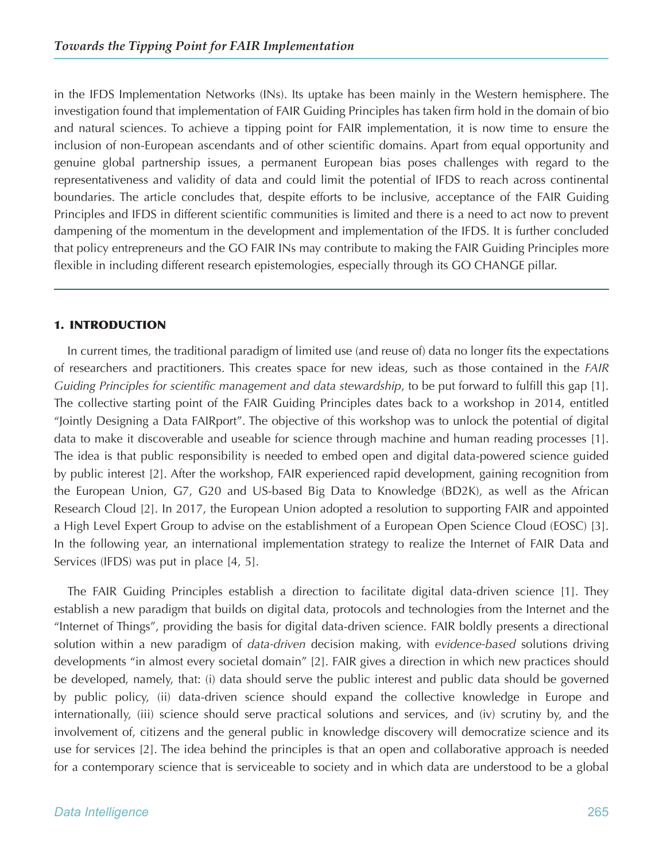in the IFDS Implementation Networks (INs). Its uptake has been mainly in the Western hemisphere. The investigation found that implementation of FAIR Guiding Principles has taken firm hold in the domain of bio and natural sciences. To achieve a tipping point for FAIR implementation, it is now time to ensure the inclusion of non-European ascendants and of other scientific domains. Apart from equal opportunity and genuine global partnership issues, a permanent European bias poses challenges with regard to the representativeness and validity of data and could limit the potential of IFDS to reach across continental boundaries. The article concludes that, despite efforts to be inclusive, acceptance of the FAIR Guiding Principles and IFDS in different scientific communities is limited and there is a need to act now to prevent dampening of the momentum in the development and implementation of the IFDS. It is further concluded that policy entrepreneurs and the GO FAIR INs may contribute to making the FAIR Guiding Principles more flexible in including different research epistemologies, especially through its GO CHANGE pillar.

### 1. INTRODUCTION

In current times, the traditional paradigm of limited use (and reuse of) data no longer fits the expectations of researchers and practitioners. This creates space for new ideas, such as those contained in the *FAIR Guiding Principles for scientific management and data stewardship*, to be put forward to fulfill this gap [1]. The collective starting point of the FAIR Guiding Principles dates back to a workshop in 2014, entitled "Jointly Designing a Data FAIRport". The objective of this workshop was to unlock the potential of digital data to make it discoverable and useable for science through machine and human reading processes [1]. The idea is that public responsibility is needed to embed open and digital data-powered science guided by public interest [2]. After the workshop, FAIR experienced rapid development, gaining recognition from the European Union, G7, G20 and US-based Big Data to Knowledge (BD2K), as well as the African Research Cloud [2]. In 2017, the European Union adopted a resolution to supporting FAIR and appointed a High Level Expert Group to advise on the establishment of a European Open Science Cloud (EOSC) [3]. In the following year, an international implementation strategy to realize the Internet of FAIR Data and Services (IFDS) was put in place [4, 5].

The FAIR Guiding Principles establish a direction to facilitate digital data-driven science [1]. They establish a new paradigm that builds on digital data, protocols and technologies from the Internet and the "Internet of Things", providing the basis for digital data-driven science. FAIR boldly presents a directional solution within a new paradigm of *data-driven* decision making, with *evidence-based* solutions driving developments "in almost every societal domain" [2]. FAIR gives a direction in which new practices should be developed, namely, that: (i) data should serve the public interest and public data should be governed by public policy, (ii) data-driven science should expand the collective knowledge in Europe and internationally, (iii) science should serve practical solutions and services, and (iv) scrutiny by, and the involvement of, citizens and the general public in knowledge discovery will democratize science and its use for services [2]. The idea behind the principles is that an open and collaborative approach is needed for a contemporary science that is serviceable to society and in which data are understood to be a global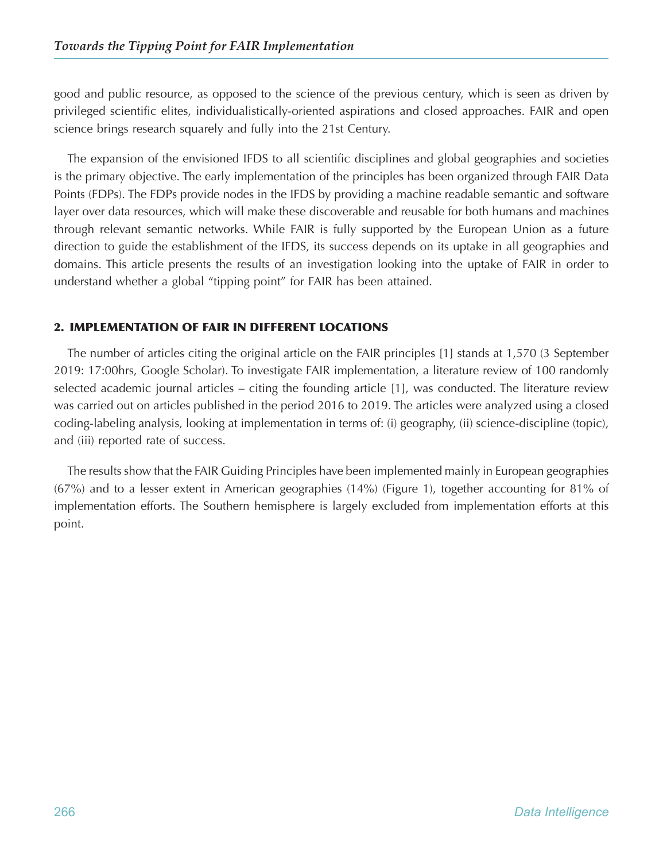good and public resource, as opposed to the science of the previous century, which is seen as driven by privileged scientific elites, individualistically-oriented aspirations and closed approaches. FAIR and open science brings research squarely and fully into the 21st Century.

The expansion of the envisioned IFDS to all scientific disciplines and global geographies and societies is the primary objective. The early implementation of the principles has been organized through FAIR Data Points (FDPs). The FDPs provide nodes in the IFDS by providing a machine readable semantic and software layer over data resources, which will make these discoverable and reusable for both humans and machines through relevant semantic networks. While FAIR is fully supported by the European Union as a future direction to guide the establishment of the IFDS, its success depends on its uptake in all geographies and domains. This article presents the results of an investigation looking into the uptake of FAIR in order to understand whether a global "tipping point" for FAIR has been attained.

## 2. IMPLEMENTATION OF FAIR IN DIFFERENT LOCATIONS

The number of articles citing the original article on the FAIR principles [1] stands at 1,570 (3 September 2019: 17:00hrs, Google Scholar). To investigate FAIR implementation, a literature review of 100 randomly selected academic journal articles – citing the founding article [1], was conducted. The literature review was carried out on articles published in the period 2016 to 2019. The articles were analyzed using a closed coding-labeling analysis, looking at implementation in terms of: (i) geography, (ii) science-discipline (topic), and (iii) reported rate of success.

The results show that the FAIR Guiding Principles have been implemented mainly in European geographies (67%) and to a lesser extent in American geographies (14%) (Figure 1), together accounting for 81% of implementation efforts. The Southern hemisphere is largely excluded from implementation efforts at this point.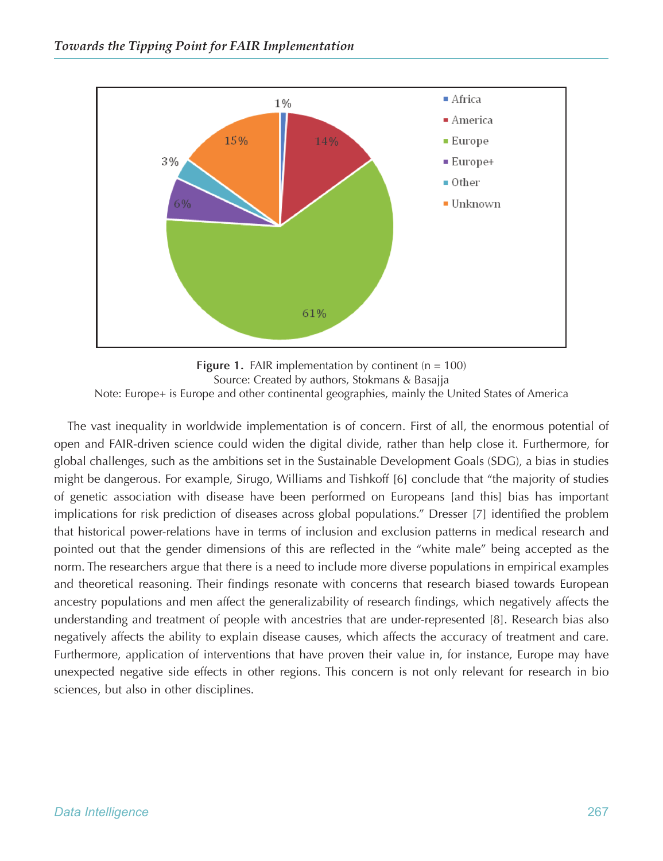

**Figure 1.** FAIR implementation by continent ( $n = 100$ ) Source: Created by authors, Stokmans & Basajja Note: Europe+ is Europe and other continental geographies, mainly the United States of America

The vast inequality in worldwide implementation is of concern. First of all, the enormous potential of open and FAIR-driven science could widen the digital divide, rather than help close it. Furthermore, for global challenges, such as the ambitions set in the Sustainable Development Goals (SDG), a bias in studies might be dangerous. For example, Sirugo, Williams and Tishkoff [6] conclude that "the majority of studies of genetic association with disease have been performed on Europeans [and this] bias has important implications for risk prediction of diseases across global populations." Dresser [7] identified the problem that historical power-relations have in terms of inclusion and exclusion patterns in medical research and pointed out that the gender dimensions of this are reflected in the "white male" being accepted as the norm. The researchers argue that there is a need to include more diverse populations in empirical examples and theoretical reasoning. Their findings resonate with concerns that research biased towards European ancestry populations and men affect the generalizability of research findings, which negatively affects the understanding and treatment of people with ancestries that are under-represented [8]. Research bias also negatively affects the ability to explain disease causes, which affects the accuracy of treatment and care. Furthermore, application of interventions that have proven their value in, for instance, Europe may have unexpected negative side effects in other regions. This concern is not only relevant for research in bio sciences, but also in other disciplines.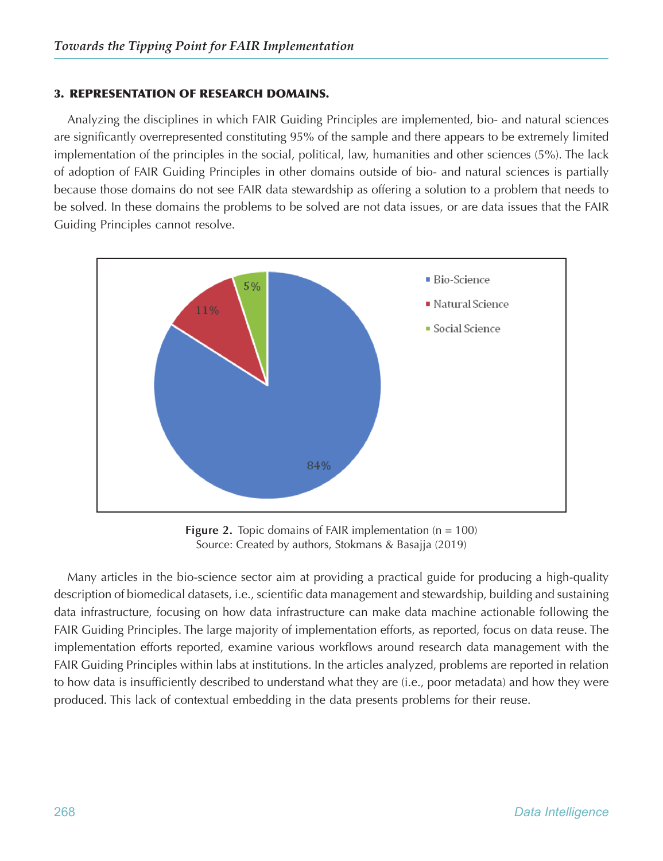#### 3. REPRESENTATION OF RESEARCH DOMAINS.

Analyzing the disciplines in which FAIR Guiding Principles are implemented, bio- and natural sciences are significantly overrepresented constituting 95% of the sample and there appears to be extremely limited implementation of the principles in the social, political, law, humanities and other sciences (5%). The lack of adoption of FAIR Guiding Principles in other domains outside of bio- and natural sciences is partially because those domains do not see FAIR data stewardship as offering a solution to a problem that needs to be solved. In these domains the problems to be solved are not data issues, or are data issues that the FAIR Guiding Principles cannot resolve.



**Figure 2.** Topic domains of FAIR implementation (n = 100) Source: Created by authors, Stokmans & Basajja (2019)

Many articles in the bio-science sector aim at providing a practical guide for producing a high-quality description of biomedical datasets, i.e., scientific data management and stewardship, building and sustaining data infrastructure, focusing on how data infrastructure can make data machine actionable following the FAIR Guiding Principles. The large majority of implementation efforts, as reported, focus on data reuse. The implementation efforts reported, examine various workflows around research data management with the FAIR Guiding Principles within labs at institutions. In the articles analyzed, problems are reported in relation to how data is insufficiently described to understand what they are (i.e., poor metadata) and how they were produced. This lack of contextual embedding in the data presents problems for their reuse.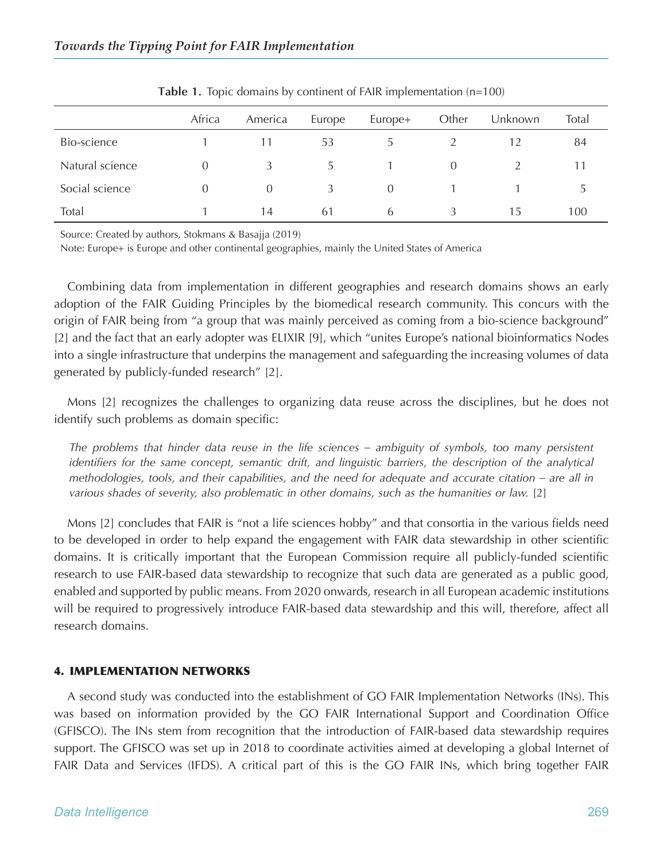|                 | Africa   | America  | Europe | Europe+  | Other    | Unknown | Total |
|-----------------|----------|----------|--------|----------|----------|---------|-------|
| Bio-science     |          | 11       | 53     |          |          | 12      | 84    |
| Natural science | $\Omega$ | 3        | 5.     |          | $\Omega$ |         |       |
| Social science  | $\Omega$ | $\Omega$ | 3      | $\Omega$ |          |         |       |
| Total           |          | 14       | 61     | 6        | λ        | Тb      | 100   |

**Table 1.** Topic domains by continent of FAIR implementation (n=100)

Source: Created by authors, Stokmans & Basajja (2019)

Note: Europe+ is Europe and other continental geographies, mainly the United States of America

Combining data from implementation in different geographies and research domains shows an early adoption of the FAIR Guiding Principles by the biomedical research community. This concurs with the origin of FAIR being from "a group that was mainly perceived as coming from a bio-science background" [2] and the fact that an early adopter was ELIXIR [9], which "unites Europe's national bioinformatics Nodes into a single infrastructure that underpins the management and safeguarding the increasing volumes of data generated by publicly-funded research" [2].

Mons [2] recognizes the challenges to organizing data reuse across the disciplines, but he does not identify such problems as domain specific:

*The problems that hinder data reuse in the life sciences – ambiguity of symbols, too many persistent identifiers for the same concept, semantic drift, and linguistic barriers, the description of the analytical methodologies, tools, and their capabilities, and the need for adequate and accurate citation – are all in various shades of severity, also problematic in other domains, such as the humanities or law.* [2]

Mons [2] concludes that FAIR is "not a life sciences hobby" and that consortia in the various fields need to be developed in order to help expand the engagement with FAIR data stewardship in other scientific domains. It is critically important that the European Commission require all publicly-funded scientific research to use FAIR-based data stewardship to recognize that such data are generated as a public good, enabled and supported by public means. From 2020 onwards, research in all European academic institutions will be required to progressively introduce FAIR-based data stewardship and this will, therefore, affect all research domains.

### 4. IMPLEMENTATION NETWORKS

A second study was conducted into the establishment of GO FAIR Implementation Networks (INs). This was based on information provided by the GO FAIR International Support and Coordination Office (GFISCO). The INs stem from recognition that the introduction of FAIR-based data stewardship requires support. The GFISCO was set up in 2018 to coordinate activities aimed at developing a global Internet of FAIR Data and Services (IFDS). A critical part of this is the GO FAIR INs, which bring together FAIR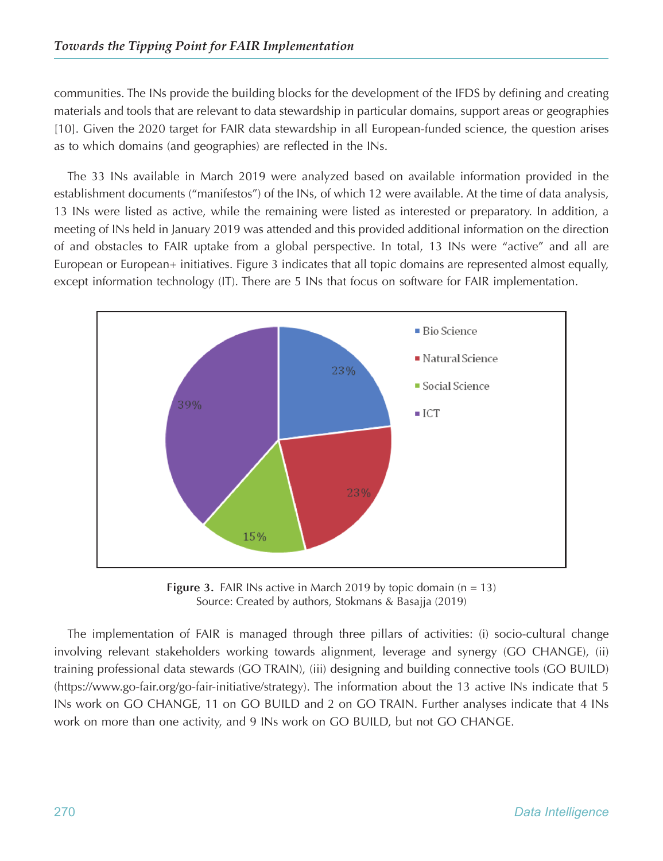communities. The INs provide the building blocks for the development of the IFDS by defining and creating materials and tools that are relevant to data stewardship in particular domains, support areas or geographies [10]. Given the 2020 target for FAIR data stewardship in all European-funded science, the question arises as to which domains (and geographies) are reflected in the INs.

The 33 INs available in March 2019 were analyzed based on available information provided in the establishment documents ("manifestos") of the INs, of which 12 were available. At the time of data analysis, 13 INs were listed as active, while the remaining were listed as interested or preparatory. In addition, a meeting of INs held in January 2019 was attended and this provided additional information on the direction of and obstacles to FAIR uptake from a global perspective. In total, 13 INs were "active" and all are European or European+ initiatives. Figure 3 indicates that all topic domains are represented almost equally, except information technology (IT). There are 5 INs that focus on software for FAIR implementation.



**Figure 3.** FAIR INs active in March 2019 by topic domain (n = 13) Source: Created by authors, Stokmans & Basajja (2019)

The implementation of FAIR is managed through three pillars of activities: (i) socio-cultural change involving relevant stakeholders working towards alignment, leverage and synergy (GO CHANGE), (ii) training professional data stewards (GO TRAIN), (iii) designing and building connective tools (GO BUILD) (https://www.go-fair.org/go-fair-initiative/strategy). The information about the 13 active INs indicate that 5 INs work on GO CHANGE, 11 on GO BUILD and 2 on GO TRAIN. Further analyses indicate that 4 INs work on more than one activity, and 9 INs work on GO BUILD, but not GO CHANGE.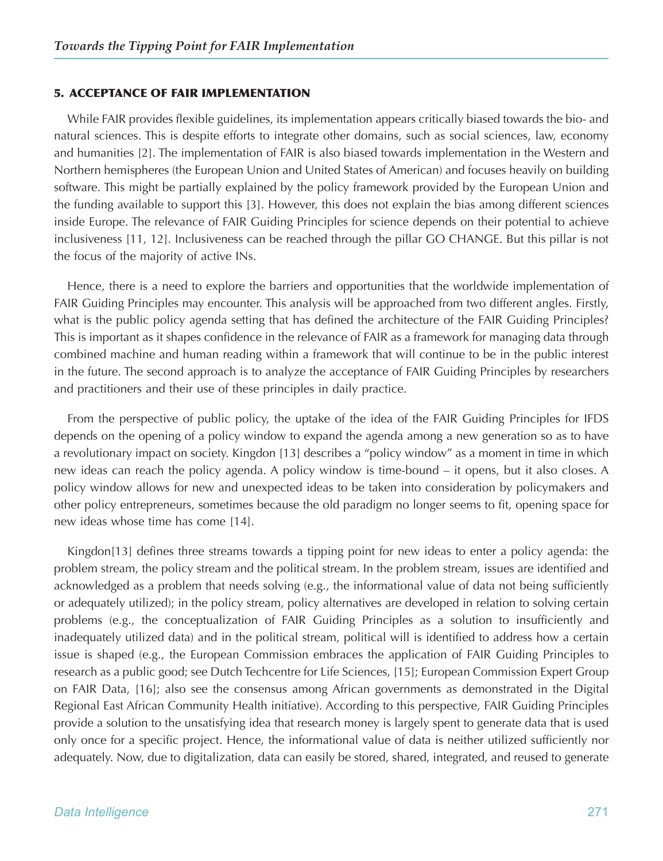#### 5. ACCEPTANCE OF FAIR IMPLEMENTATION

While FAIR provides flexible guidelines, its implementation appears critically biased towards the bio- and natural sciences. This is despite efforts to integrate other domains, such as social sciences, law, economy and humanities [2]. The implementation of FAIR is also biased towards implementation in the Western and Northern hemispheres (the European Union and United States of American) and focuses heavily on building software. This might be partially explained by the policy framework provided by the European Union and the funding available to support this [3]. However, this does not explain the bias among different sciences inside Europe. The relevance of FAIR Guiding Principles for science depends on their potential to achieve inclusiveness [11, 12]. Inclusiveness can be reached through the pillar GO CHANGE. But this pillar is not the focus of the majority of active INs.

Hence, there is a need to explore the barriers and opportunities that the worldwide implementation of FAIR Guiding Principles may encounter. This analysis will be approached from two different angles. Firstly, what is the public policy agenda setting that has defined the architecture of the FAIR Guiding Principles? This is important as it shapes confidence in the relevance of FAIR as a framework for managing data through combined machine and human reading within a framework that will continue to be in the public interest in the future. The second approach is to analyze the acceptance of FAIR Guiding Principles by researchers and practitioners and their use of these principles in daily practice.

From the perspective of public policy, the uptake of the idea of the FAIR Guiding Principles for IFDS depends on the opening of a policy window to expand the agenda among a new generation so as to have a revolutionary impact on society. Kingdon [13] describes a "policy window" as a moment in time in which new ideas can reach the policy agenda. A policy window is time-bound – it opens, but it also closes. A policy window allows for new and unexpected ideas to be taken into consideration by policymakers and other policy entrepreneurs, sometimes because the old paradigm no longer seems to fit, opening space for new ideas whose time has come [14].

Kingdon[13] defines three streams towards a tipping point for new ideas to enter a policy agenda: the problem stream, the policy stream and the political stream. In the problem stream, issues are identified and acknowledged as a problem that needs solving (e.g., the informational value of data not being sufficiently or adequately utilized); in the policy stream, policy alternatives are developed in relation to solving certain problems (e.g., the conceptualization of FAIR Guiding Principles as a solution to insufficiently and inadequately utilized data) and in the political stream, political will is identified to address how a certain issue is shaped (e.g., the European Commission embraces the application of FAIR Guiding Principles to research as a public good; see Dutch Techcentre for Life Sciences, [15]; European Commission Expert Group on FAIR Data, [16]; also see the consensus among African governments as demonstrated in the Digital Regional East African Community Health initiative). According to this perspective, FAIR Guiding Principles provide a solution to the unsatisfying idea that research money is largely spent to generate data that is used only once for a specific project. Hence, the informational value of data is neither utilized sufficiently nor adequately. Now, due to digitalization, data can easily be stored, shared, integrated, and reused to generate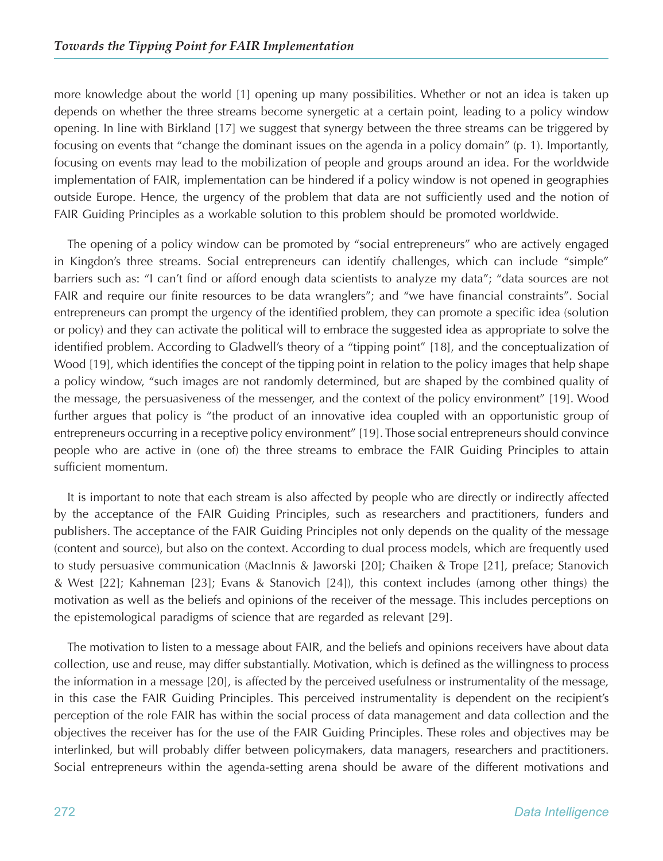more knowledge about the world [1] opening up many possibilities. Whether or not an idea is taken up depends on whether the three streams become synergetic at a certain point, leading to a policy window opening. In line with Birkland [17] we suggest that synergy between the three streams can be triggered by focusing on events that "change the dominant issues on the agenda in a policy domain" (p. 1). Importantly, focusing on events may lead to the mobilization of people and groups around an idea. For the worldwide implementation of FAIR, implementation can be hindered if a policy window is not opened in geographies outside Europe. Hence, the urgency of the problem that data are not sufficiently used and the notion of FAIR Guiding Principles as a workable solution to this problem should be promoted worldwide.

The opening of a policy window can be promoted by "social entrepreneurs" who are actively engaged in Kingdon's three streams. Social entrepreneurs can identify challenges, which can include "simple" barriers such as: "I can't find or afford enough data scientists to analyze my data"; "data sources are not FAIR and require our finite resources to be data wranglers"; and "we have financial constraints". Social entrepreneurs can prompt the urgency of the identified problem, they can promote a specific idea (solution or policy) and they can activate the political will to embrace the suggested idea as appropriate to solve the identified problem. According to Gladwell's theory of a "tipping point" [18], and the conceptualization of Wood [19], which identifies the concept of the tipping point in relation to the policy images that help shape a policy window, "such images are not randomly determined, but are shaped by the combined quality of the message, the persuasiveness of the messenger, and the context of the policy environment" [19]. Wood further argues that policy is "the product of an innovative idea coupled with an opportunistic group of entrepreneurs occurring in a receptive policy environment" [19]. Those social entrepreneurs should convince people who are active in (one of) the three streams to embrace the FAIR Guiding Principles to attain sufficient momentum.

It is important to note that each stream is also affected by people who are directly or indirectly affected by the acceptance of the FAIR Guiding Principles, such as researchers and practitioners, funders and publishers. The acceptance of the FAIR Guiding Principles not only depends on the quality of the message (content and source), but also on the context. According to dual process models, which are frequently used to study persuasive communication (MacInnis & Jaworski [20]; Chaiken & Trope [21], preface; Stanovich & West [22]; Kahneman [23]; Evans & Stanovich [24]), this context includes (among other things) the motivation as well as the beliefs and opinions of the receiver of the message. This includes perceptions on the epistemological paradigms of science that are regarded as relevant [29].

The motivation to listen to a message about FAIR, and the beliefs and opinions receivers have about data collection, use and reuse, may differ substantially. Motivation, which is defined as the willingness to process the information in a message [20], is affected by the perceived usefulness or instrumentality of the message, in this case the FAIR Guiding Principles. This perceived instrumentality is dependent on the recipient's perception of the role FAIR has within the social process of data management and data collection and the objectives the receiver has for the use of the FAIR Guiding Principles. These roles and objectives may be interlinked, but will probably differ between policymakers, data managers, researchers and practitioners. Social entrepreneurs within the agenda-setting arena should be aware of the different motivations and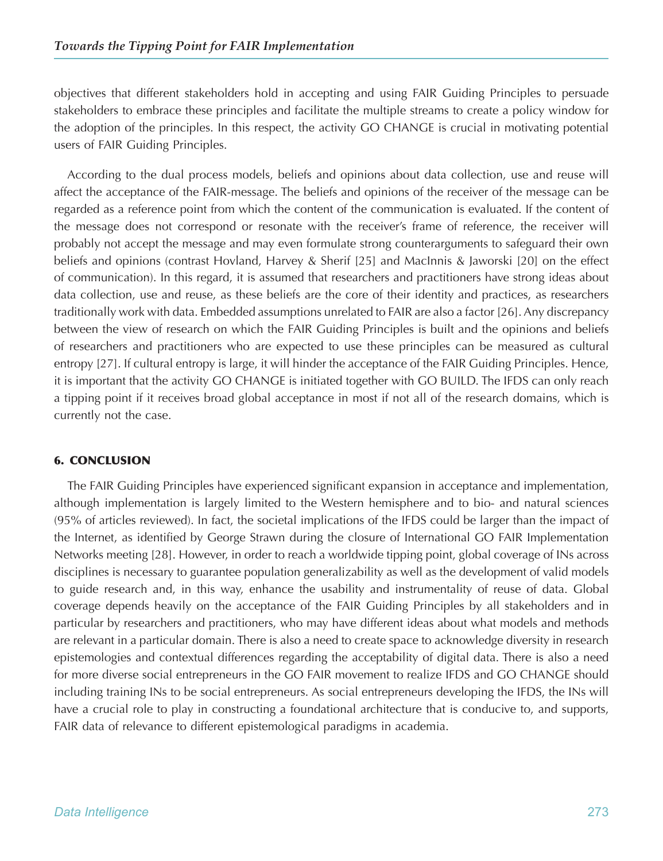objectives that different stakeholders hold in accepting and using FAIR Guiding Principles to persuade stakeholders to embrace these principles and facilitate the multiple streams to create a policy window for the adoption of the principles. In this respect, the activity GO CHANGE is crucial in motivating potential users of FAIR Guiding Principles.

According to the dual process models, beliefs and opinions about data collection, use and reuse will affect the acceptance of the FAIR-message. The beliefs and opinions of the receiver of the message can be regarded as a reference point from which the content of the communication is evaluated. If the content of the message does not correspond or resonate with the receiver's frame of reference, the receiver will probably not accept the message and may even formulate strong counterarguments to safeguard their own beliefs and opinions (contrast Hovland, Harvey & Sherif [25] and MacInnis & Jaworski [20] on the effect of communication). In this regard, it is assumed that researchers and practitioners have strong ideas about data collection, use and reuse, as these beliefs are the core of their identity and practices, as researchers traditionally work with data. Embedded assumptions unrelated to FAIR are also a factor [26]. Any discrepancy between the view of research on which the FAIR Guiding Principles is built and the opinions and beliefs of researchers and practitioners who are expected to use these principles can be measured as cultural entropy [27]. If cultural entropy is large, it will hinder the acceptance of the FAIR Guiding Principles. Hence, it is important that the activity GO CHANGE is initiated together with GO BUILD. The IFDS can only reach a tipping point if it receives broad global acceptance in most if not all of the research domains, which is currently not the case.

# 6. CONCLUSION

The FAIR Guiding Principles have experienced significant expansion in acceptance and implementation, although implementation is largely limited to the Western hemisphere and to bio- and natural sciences (95% of articles reviewed). In fact, the societal implications of the IFDS could be larger than the impact of the Internet, as identified by George Strawn during the closure of International GO FAIR Implementation Networks meeting [28]. However, in order to reach a worldwide tipping point, global coverage of INs across disciplines is necessary to guarantee population generalizability as well as the development of valid models to guide research and, in this way, enhance the usability and instrumentality of reuse of data. Global coverage depends heavily on the acceptance of the FAIR Guiding Principles by all stakeholders and in particular by researchers and practitioners, who may have different ideas about what models and methods are relevant in a particular domain. There is also a need to create space to acknowledge diversity in research epistemologies and contextual differences regarding the acceptability of digital data. There is also a need for more diverse social entrepreneurs in the GO FAIR movement to realize IFDS and GO CHANGE should including training INs to be social entrepreneurs. As social entrepreneurs developing the IFDS, the INs will have a crucial role to play in constructing a foundational architecture that is conducive to, and supports, FAIR data of relevance to different epistemological paradigms in academia.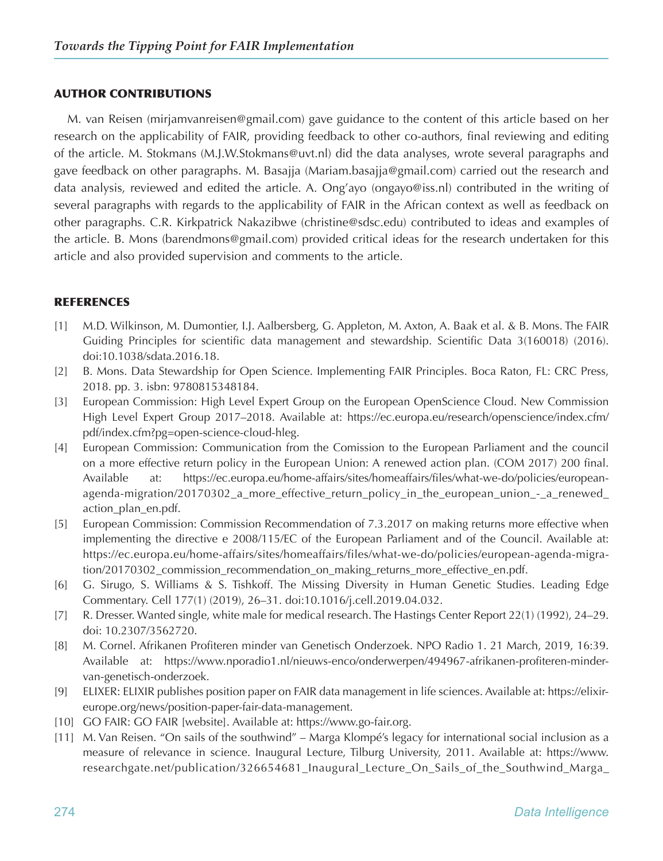## AUTHOR CONTRIBUTIONS

M. van Reisen (mirjamvanreisen@gmail.com) gave guidance to the content of this article based on her research on the applicability of FAIR, providing feedback to other co-authors, final reviewing and editing of the article. M. Stokmans (M.J.W.Stokmans@uvt.nl) did the data analyses, wrote several paragraphs and gave feedback on other paragraphs. M. Basajja (Mariam.basajja@gmail.com) carried out the research and data analysis, reviewed and edited the article. A. Ong'ayo (ongayo@iss.nl) contributed in the writing of several paragraphs with regards to the applicability of FAIR in the African context as well as feedback on other paragraphs. C.R. Kirkpatrick Nakazibwe (christine@sdsc.edu) contributed to ideas and examples of the article. B. Mons (barendmons@gmail.com) provided critical ideas for the research undertaken for this article and also provided supervision and comments to the article.

### REFERENCES

- [1] M.D. Wilkinson, M. Dumontier, I.J. Aalbersberg, G. Appleton, M. Axton, A. Baak et al. & B. Mons. The FAIR Guiding Principles for scientific data management and stewardship. Scientific Data 3(160018) (2016). doi:10.1038/sdata.2016.18.
- [2] B. Mons. Data Stewardship for Open Science. Implementing FAIR Principles. Boca Raton, FL: CRC Press, 2018. pp. 3. isbn: 9780815348184.
- [3] European Commission: High Level Expert Group on the European OpenScience Cloud. New Commission High Level Expert Group 2017–2018. Available at: [https://ec.europa.eu/research/openscience/index.cfm/](https://ec.europa.eu/research/openscience/index.cfm/pdf/index.cfm?pg=open-science-cloud-hleg) [pdf/index.cfm?pg=open-science-cloud-hleg](https://ec.europa.eu/research/openscience/index.cfm/pdf/index.cfm?pg=open-science-cloud-hleg).
- [4] European Commission: Communication from the Comission to the European Parliament and the council on a more effective return policy in the European Union: A renewed action plan. (COM 2017) 200 final. Available at: [https://ec.europa.eu/home-affairs/sites/homeaffairs/files/what-we-do/policies/european](https://ec.europa.eu/home-affairs/sites/homeaffairs/files/what-we-do/policies/european-agenda-migration/20170302_a_more_effective_return_policy_in_the_european_union_-_a_renewed_action_plan_en.pdf)[agenda-migration/20170302\\_a\\_more\\_effective\\_return\\_policy\\_in\\_the\\_european\\_union\\_-\\_a\\_renewed\\_](https://ec.europa.eu/home-affairs/sites/homeaffairs/files/what-we-do/policies/european-agenda-migration/20170302_a_more_effective_return_policy_in_the_european_union_-_a_renewed_action_plan_en.pdf) [action\\_plan\\_en.pdf.](https://ec.europa.eu/home-affairs/sites/homeaffairs/files/what-we-do/policies/european-agenda-migration/20170302_a_more_effective_return_policy_in_the_european_union_-_a_renewed_action_plan_en.pdf)
- [5] European Commission: Commission Recommendation of 7.3.2017 on making returns more effective when implementing the directive e 2008/115/EC of the European Parliament and of the Council. Available at: [https://ec.europa.eu/home-affairs/sites/homeaffairs/files/what-we-do/policies/european-agenda-migra](https://ec.europa.eu/home-affairs/sites/homeaffairs/files/what-we-do/policies/european-agenda-migration/20170302_commission_recommendation_on_making_returns_more_effective_en.pdf)[tion/20170302\\_commission\\_recommendation\\_on\\_making\\_returns\\_more\\_effective\\_en.pdf](https://ec.europa.eu/home-affairs/sites/homeaffairs/files/what-we-do/policies/european-agenda-migration/20170302_commission_recommendation_on_making_returns_more_effective_en.pdf).
- [6] G. Sirugo, S. Williams & S. Tishkoff. The Missing Diversity in Human Genetic Studies. Leading Edge Commentary. Cell 177(1) (2019), 26–31. doi:10.1016/j.cell.2019.04.032.
- [7] R. Dresser. Wanted single, white male for medical research. The Hastings Center Report 22(1) (1992), 24–29. doi: 10.2307/3562720.
- [8] M. Cornel. Afrikanen Profiteren minder van Genetisch Onderzoek. NPO Radio 1. 21 March, 2019, 16:39. Available at: [https://www.nporadio1.nl/nieuws-enco/onderwerpen/494967-afrikanen-profiteren-minder](https://www.nporadio1.nl/nieuws-enco/onderwerpen/494967-afrikanen-profiteren-minder-van-genetisch-onderzoek)[van-genetisch-onderzoek](https://www.nporadio1.nl/nieuws-enco/onderwerpen/494967-afrikanen-profiteren-minder-van-genetisch-onderzoek).
- [9] ELIXER: ELIXIR publishes position paper on FAIR data management in life sciences. Available at: [https://elixir](https://elixir-europe.org/news/position-paper-fair-data-management)[europe.org/news/position-paper-fair-data-management](https://elixir-europe.org/news/position-paper-fair-data-management).
- [10] GO FAIR: GO FAIR [website]. Available at: https://www.go-fair.org.
- [11] M. Van Reisen. "On sails of the southwind" Marga Klompé's legacy for international social inclusion as a measure of relevance in science. Inaugural Lecture, Tilburg University, 2011. Available at: [https://www.](https://www.researchgate.net/publication/326654681_Inaugural_Lecture_On_Sails_of_the_Southwind_Marga_Klompe’s_Legacy_for_International_Social_Responsibility_Social_Inclusion_as_a_Measure_of_Relevance_in_Science) [researchgate.net/publication/326654681\\_Inaugural\\_Lecture\\_On\\_Sails\\_of\\_the\\_Southwind\\_Marga\\_](https://www.researchgate.net/publication/326654681_Inaugural_Lecture_On_Sails_of_the_Southwind_Marga_Klompe’s_Legacy_for_International_Social_Responsibility_Social_Inclusion_as_a_Measure_of_Relevance_in_Science)